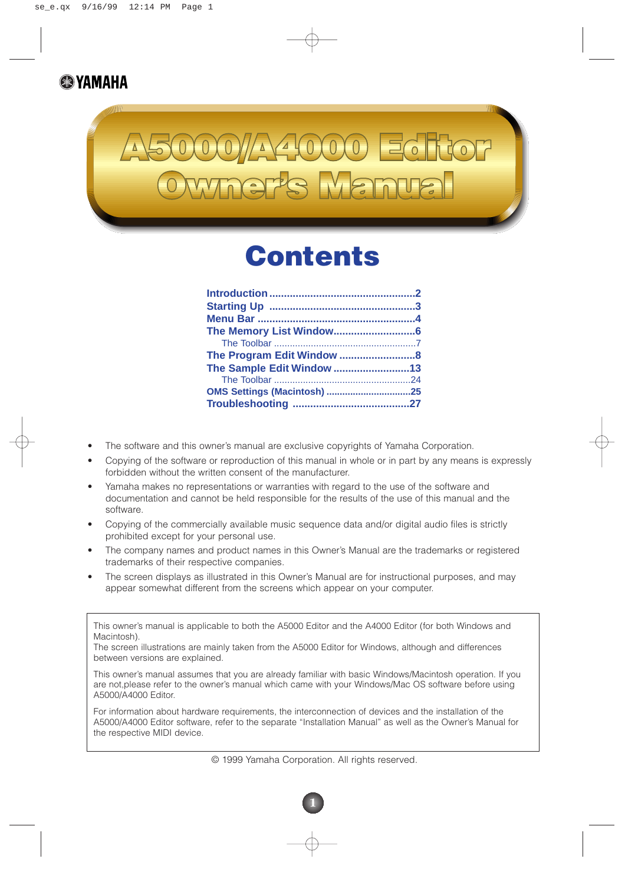### **B**YAMAHA



## **Contents**

| The Sample Edit Window 13   |  |
|-----------------------------|--|
|                             |  |
| OMS Settings (Macintosh) 25 |  |
|                             |  |
|                             |  |

- The software and this owner's manual are exclusive copyrights of Yamaha Corporation.
- Copying of the software or reproduction of this manual in whole or in part by any means is expressly forbidden without the written consent of the manufacturer.
- Yamaha makes no representations or warranties with regard to the use of the software and documentation and cannot be held responsible for the results of the use of this manual and the software.
- Copying of the commercially available music sequence data and/or digital audio files is strictly prohibited except for your personal use.
- The company names and product names in this Owner's Manual are the trademarks or registered trademarks of their respective companies.
- The screen displays as illustrated in this Owner's Manual are for instructional purposes, and may appear somewhat different from the screens which appear on your computer.

This owner's manual is applicable to both the A5000 Editor and the A4000 Editor (for both Windows and Macintosh).

The screen illustrations are mainly taken from the A5000 Editor for Windows, although and differences between versions are explained.

This owner's manual assumes that you are already familiar with basic Windows/Macintosh operation. If you are not,please refer to the owner's manual which came with your Windows/Mac OS software before using A5000/A4000 Editor.

For information about hardware requirements, the interconnection of devices and the installation of the A5000/A4000 Editor software, refer to the separate "Installation Manual" as well as the Owner's Manual for the respective MIDI device.

© 1999 Yamaha Corporation. All rights reserved.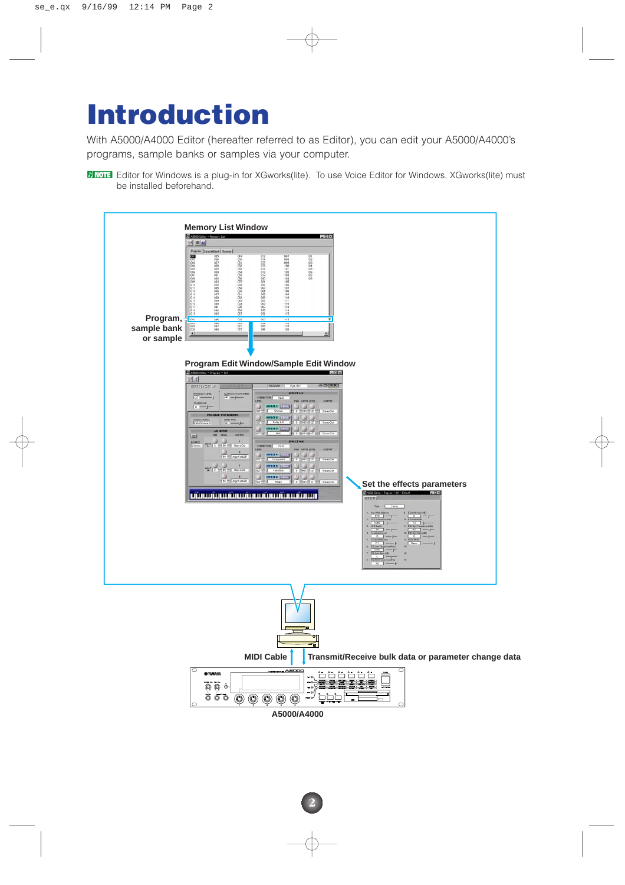# **Introduction**

With A5000/A4000 Editor (hereafter referred to as Editor), you can edit your A5000/A4000's programs, sample banks or samples via your computer.

**EXTEMBED FOR THE STATE STATES IS A plug-in for XGworks(lite).** To use Voice Editor for Windows, XGworks(lite) must be installed beforehand.

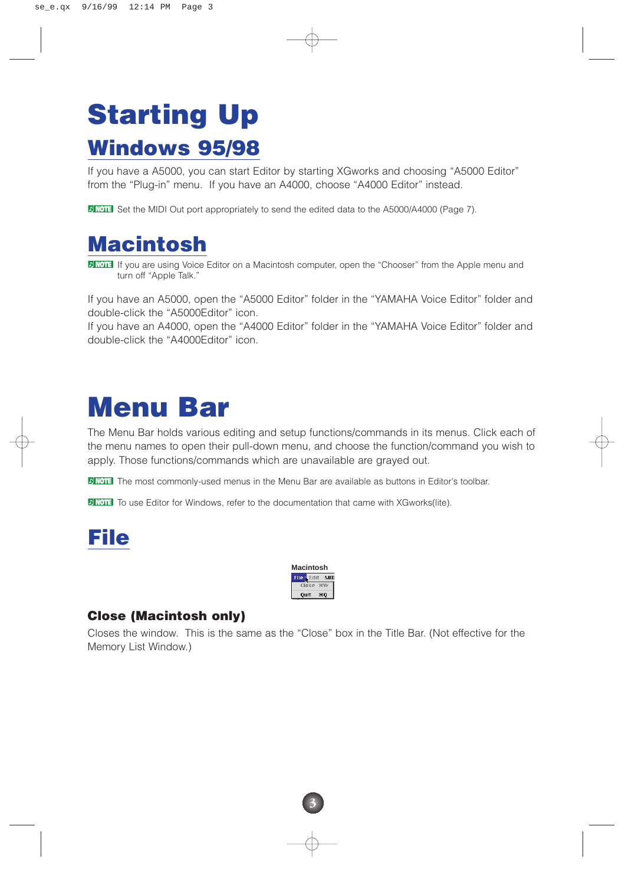# **Starting Up Windows 95/98**

If you have a A5000, you can start Editor by starting XGworks and choosing "A5000 Editor" from the "Plug-in" menu. If you have an A4000, choose "A4000 Editor" instead.

**BINDIE Set the MIDI Out port appropriately to send the edited data to the A5000/A4000 (Page 7).** 

### **Macintosh**

**DINGTE** If you are using Voice Editor on a Macintosh computer, open the "Chooser" from the Apple menu and turn off "Apple Talk."

If you have an A5000, open the "A5000 Editor" folder in the "YAMAHA Voice Editor" folder and double-click the "A5000Editor" icon.

If you have an A4000, open the "A4000 Editor" folder in the "YAMAHA Voice Editor" folder and double-click the "A4000Editor" icon.

## **Menu Bar**

The Menu Bar holds various editing and setup functions/commands in its menus. Click each of the menu names to open their pull-down menu, and choose the function/command you wish to apply. Those functions/commands which are unavailable are grayed out.

**DINOTE** The most commonly-used menus in the Menu Bar are available as buttons in Editor's toolbar.

**DINOTE** To use Editor for Windows, refer to the documentation that came with XGworks(lite).





#### **Close (Macintosh only)**

Closes the window. This is the same as the "Close" box in the Title Bar. (Not effective for the Memory List Window.)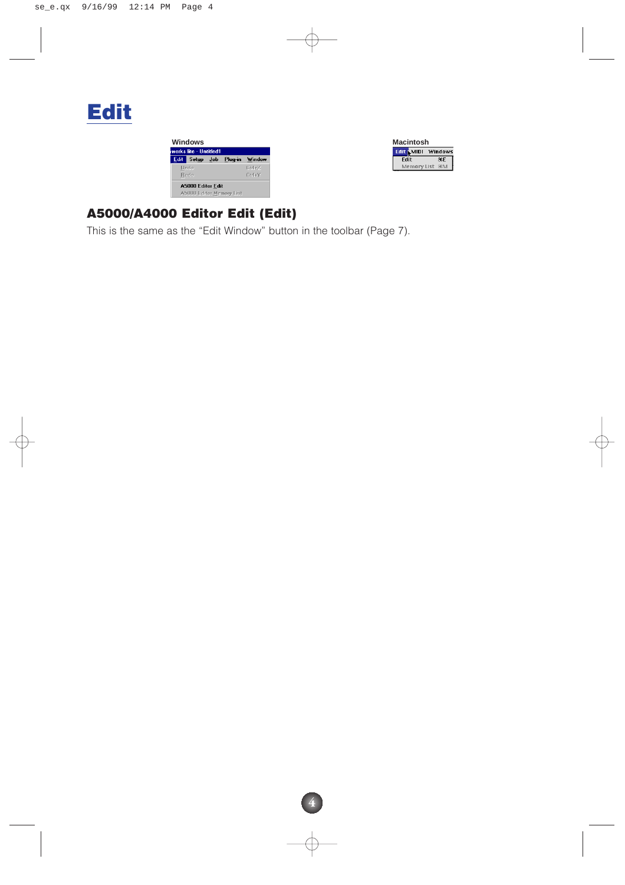

| Windows                                       |                         |  |  |          |  |  |  |
|-----------------------------------------------|-------------------------|--|--|----------|--|--|--|
|                                               | works lite - LIntitled1 |  |  |          |  |  |  |
|                                               | Edit Setup Job Plug-in  |  |  | Window   |  |  |  |
|                                               | Undo                    |  |  | $CH + Z$ |  |  |  |
|                                               | Redo                    |  |  | Ctrl+Y   |  |  |  |
| A5000 Editor Edit<br>A5000 Editor Memory List |                         |  |  |          |  |  |  |



#### **A5000/A4000 Editor Edit (Edit)**

This is the same as the "Edit Window" button in the toolbar (Page 7).

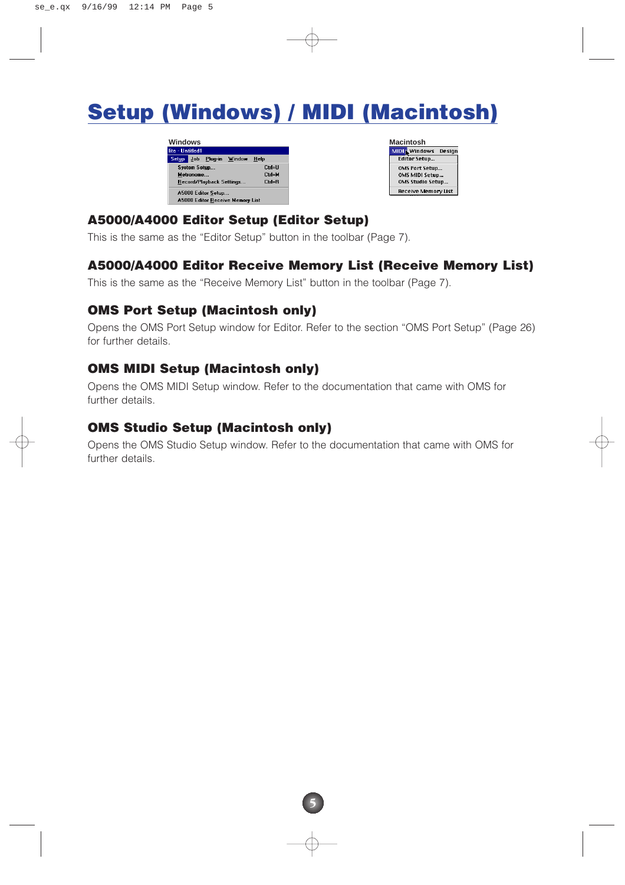### **Setup (Windows) / MIDI (Macintosh)**

| Windows                           |           |
|-----------------------------------|-----------|
| lite - Untitled1                  |           |
| Plug-in<br>Job<br>Window<br>Setup | Help      |
| System Setup                      | Ctrl+U    |
| Metronome                         | Ctrl+M    |
| Record/Playback Settings          | $C$ trl+R |
| A5000 Editor Setup                |           |
| A5000 Editor Receive Memory List  |           |

| Macintosh                     |
|-------------------------------|
| <b>MIDI</b> Windows<br>Desian |
| <b>Editor Setup</b>           |
| <b>OMS Port Setup</b>         |
| OMS MIDI Setup                |
| OMS Studio Setup              |
| <b>Receive Memory List</b>    |

#### **A5000/A4000 Editor Setup (Editor Setup)**

This is the same as the "Editor Setup" button in the toolbar (Page 7).

#### **A5000/A4000 Editor Receive Memory List (Receive Memory List)**

This is the same as the "Receive Memory List" button in the toolbar (Page 7).

#### **OMS Port Setup (Macintosh only)**

Opens the OMS Port Setup window for Editor. Refer to the section "OMS Port Setup" (Page 26) for further details.

#### **OMS MIDI Setup (Macintosh only)**

Opens the OMS MIDI Setup window. Refer to the documentation that came with OMS for further details.

#### **OMS Studio Setup (Macintosh only)**

Opens the OMS Studio Setup window. Refer to the documentation that came with OMS for further details.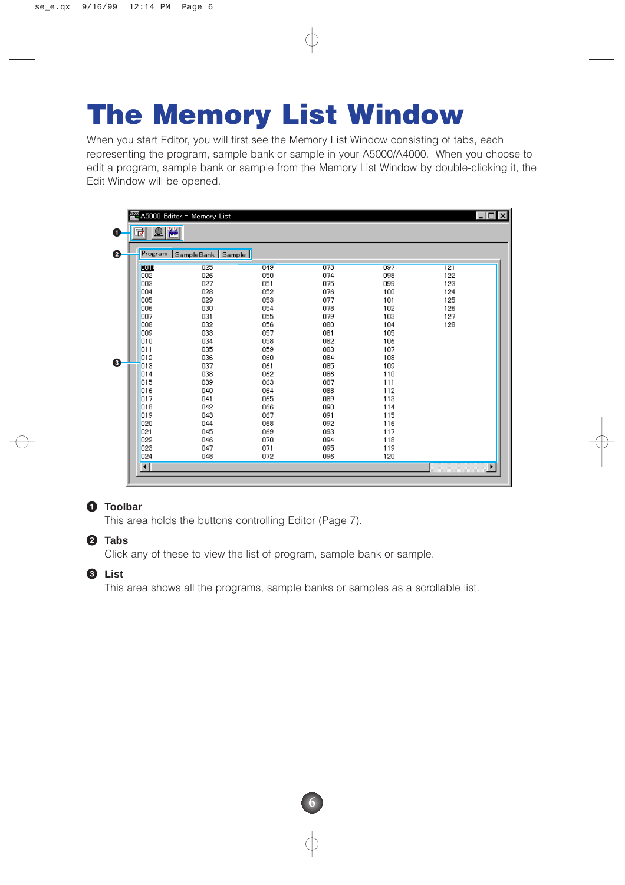# **The Memory List Window**

When you start Editor, you will first see the Memory List Window consisting of tabs, each representing the program, sample bank or sample in your A5000/A4000. When you choose to edit a program, sample bank or sample from the Memory List Window by double-clicking it, the Edit Window will be opened.

| Program     | SampleBank   Sample |     |     |     |     |
|-------------|---------------------|-----|-----|-----|-----|
| <b>WILE</b> | 025                 | 049 | 073 | 097 | 121 |
| 002         | 026                 | 050 | 074 | 098 | 122 |
| 003         | 027                 | 051 | 075 | 099 | 123 |
| 004         | 028                 | 052 | 076 | 100 | 124 |
| 005         | 029                 | 053 | 077 | 101 | 125 |
| 006         | 030                 | 054 | 078 | 102 | 126 |
| 007         | 031                 | 055 | 079 | 103 | 127 |
| 008         | 032                 | 056 | 080 | 104 | 128 |
| 009         | 033                 | 057 | 081 | 105 |     |
| 010         | 034                 | 058 | 082 | 106 |     |
| 011         | 035                 | 059 | 083 | 107 |     |
| 012         | 036                 | 060 | 084 | 108 |     |
| 013         | 037                 | 061 | 085 | 109 |     |
| 014         | 038                 | 062 | 086 | 110 |     |
| 015         | 039                 | 063 | 087 | 111 |     |
| 016         | 040                 | 064 | 088 | 112 |     |
| 017         | 041                 | 065 | 089 | 113 |     |
| 018         | 042                 | 066 | 090 | 114 |     |
| 019         | 043                 | 067 | 091 | 115 |     |
| 020         | 044                 | 068 | 092 | 116 |     |
| 021         | 045                 | 069 | 093 | 117 |     |
| 022         | 046                 | 070 | 094 | 118 |     |
| 023         | 047                 | 071 | 095 | 119 |     |
| 024         | 048                 | 072 | 096 | 120 |     |

#### **1 Toolbar**

This area holds the buttons controlling Editor (Page 7).

#### **2 Tabs**

Click any of these to view the list of program, sample bank or sample.

#### **3 List**

This area shows all the programs, sample banks or samples as a scrollable list.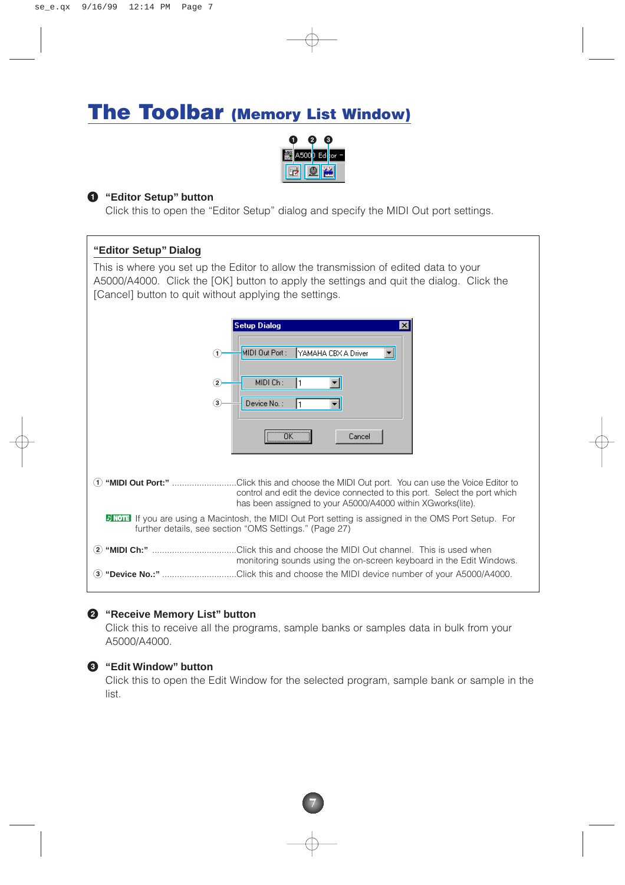### **The Toolbar (Memory List Window)**



#### **1 "Editor Setup" button**

Click this to open the "Editor Setup" dialog and specify the MIDI Out port settings.

#### **"Editor Setup" Dialog**

This is where you set up the Editor to allow the transmission of edited data to your A5000/A4000. Click the [OK] button to apply the settings and quit the dialog. Click the [Cancel] button to quit without applying the settings.

|                           | <b>Setup Dialog</b><br>$\vert x \vert$                                                                                                                                                                                                 |
|---------------------------|----------------------------------------------------------------------------------------------------------------------------------------------------------------------------------------------------------------------------------------|
| (1)                       | MIDI Out Port:<br>YAMAHA CBX A Driver                                                                                                                                                                                                  |
| $\bf(2)$<br>$\circled{3}$ | MIDI Ch:<br>Device No. :                                                                                                                                                                                                               |
|                           | $\overline{OK}$<br>Cancel                                                                                                                                                                                                              |
| (1)                       | "MIDI Out Port:" Click this and choose the MIDI Out port. You can use the Voice Editor to<br>control and edit the device connected to this port. Select the port which<br>has been assigned to your A5000/A4000 within XGworks (lite). |
|                           | <b>DINOTE</b> If you are using a Macintosh, the MIDI Out Port setting is assigned in the OMS Port Setup. For<br>further details, see section "OMS Settings." (Page 27)                                                                 |
|                           | (2) "MIDI Ch:" ……………………………Click this and choose the MIDI Out channel. This is used when<br>monitoring sounds using the on-screen keyboard in the Edit Windows.                                                                         |
| $\bf(3)$                  | "Device No.:" Click this and choose the MIDI device number of your A5000/A4000.                                                                                                                                                        |

#### **2 "Receive Memory List" button**

Click this to receive all the programs, sample banks or samples data in bulk from your A5000/A4000.

#### **3 "Edit Window" button**

Click this to open the Edit Window for the selected program, sample bank or sample in the list.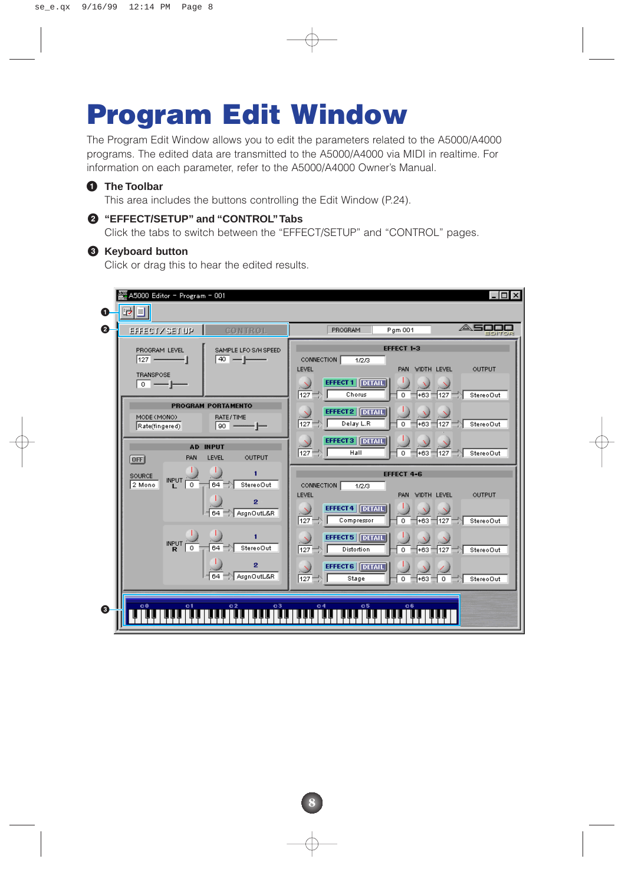# **Program Edit Window**

The Program Edit Window allows you to edit the parameters related to the A5000/A4000 programs. The edited data are transmitted to the A5000/A4000 via MIDI in realtime. For information on each parameter, refer to the A5000/A4000 Owner's Manual.

#### **1 The Toolbar**

This area includes the buttons controlling the Edit Window (P.24).

#### **2 "EFFECT/SETUP" and "CONTROL"Tabs**

Click the tabs to switch between the "EFFECT/SETUP" and "CONTROL" pages.

#### **3 Keyboard button**

Click or drag this to hear the edited results.

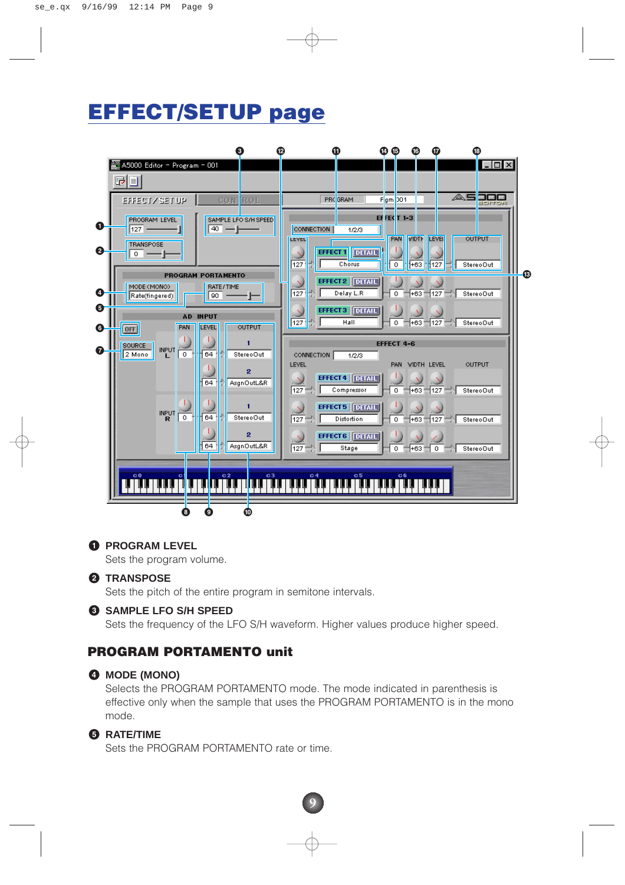### **EFFECT/SETUP page**



#### **1 PROGRAM LEVEL**

Sets the program volume.

#### **2 TRANSPOSE**

Sets the pitch of the entire program in semitone intervals.

#### **3 SAMPLE LFO S/H SPEED**

Sets the frequency of the LFO S/H waveform. Higher values produce higher speed.

#### **PROGRAM PORTAMENTO unit**

#### **4 MODE (MONO)**

Selects the PROGRAM PORTAMENTO mode. The mode indicated in parenthesis is effective only when the sample that uses the PROGRAM PORTAMENTO is in the mono mode.

#### **5 RATE/TIME**

Sets the PROGRAM PORTAMENTO rate or time.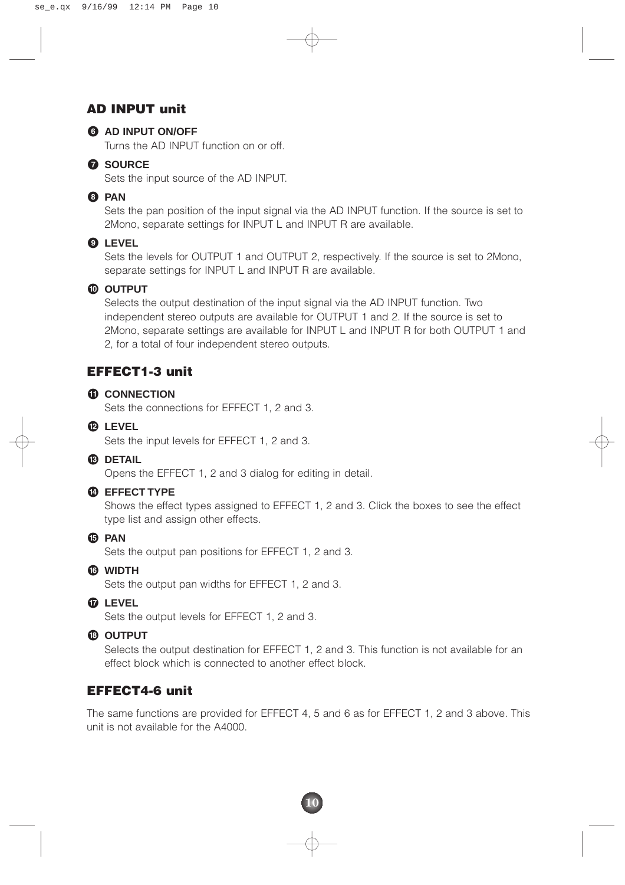#### **AD INPUT unit**



#### **6 AD INPUT ON/OFF**

Turns the AD INPUT function on or off.

#### **7 SOURCE**

Sets the input source of the AD INPUT.

#### **8 PAN**

Sets the pan position of the input signal via the AD INPUT function. If the source is set to 2Mono, separate settings for INPUT L and INPUT R are available.

#### **9 LEVEL**

Sets the levels for OUTPUT 1 and OUTPUT 2, respectively. If the source is set to 2Mono, separate settings for INPUT L and INPUT R are available.

#### **) OUTPUT**

Selects the output destination of the input signal via the AD INPUT function. Two independent stereo outputs are available for OUTPUT 1 and 2. If the source is set to 2Mono, separate settings are available for INPUT L and INPUT R for both OUTPUT 1 and 2, for a total of four independent stereo outputs.

#### **EFFECT1-3 unit**

#### **! CONNECTION**

Sets the connections for EFFECT 1, 2 and 3.

**@ LEVEL**

Sets the input levels for EFFECT 1, 2 and 3.

#### **# DETAIL**

Opens the EFFECT 1, 2 and 3 dialog for editing in detail.

#### **\$ EFFECT TYPE**

Shows the effect types assigned to EFFECT 1, 2 and 3. Click the boxes to see the effect type list and assign other effects.

**% PAN**

Sets the output pan positions for EFFECT 1, 2 and 3.

**^ WIDTH**

Sets the output pan widths for EFFECT 1, 2 and 3.

**& LEVEL**

Sets the output levels for EFFECT 1, 2 and 3.

#### **\* OUTPUT**

Selects the output destination for EFFECT 1, 2 and 3. This function is not available for an effect block which is connected to another effect block.

#### **EFFECT4-6 unit**

The same functions are provided for EFFECT 4, 5 and 6 as for EFFECT 1, 2 and 3 above. This unit is not available for the A4000.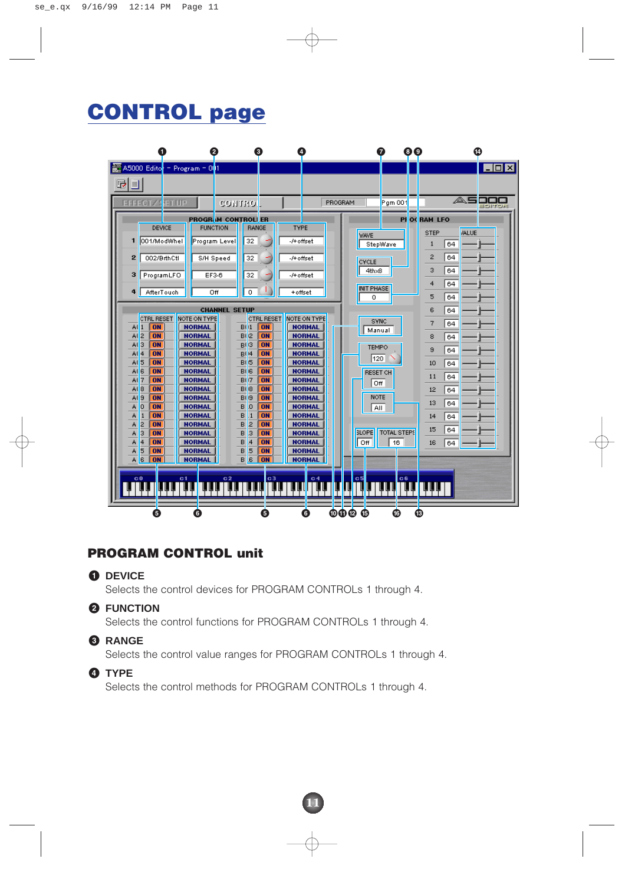### **CONTROL page**



#### **PROGRAM CONTROL unit**

#### **1 DEVICE**

Selects the control devices for PROGRAM CONTROLs 1 through 4.

#### **2 FUNCTION**

Selects the control functions for PROGRAM CONTROLs 1 through 4.

#### **3 RANGE**

Selects the control value ranges for PROGRAM CONTROLs 1 through 4.

**11**

#### **4 TYPE**

Selects the control methods for PROGRAM CONTROLs 1 through 4.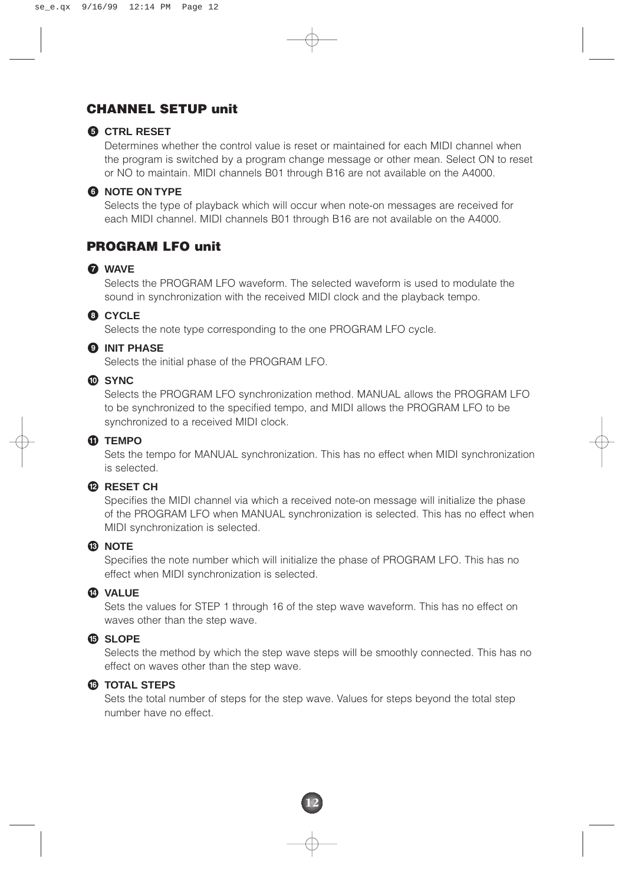#### **CHANNEL SETUP unit**

#### **5 CTRL RESET**

Determines whether the control value is reset or maintained for each MIDI channel when the program is switched by a program change message or other mean. Select ON to reset or NO to maintain. MIDI channels B01 through B16 are not available on the A4000.

#### **6 NOTE ON TYPE**

Selects the type of playback which will occur when note-on messages are received for each MIDI channel. MIDI channels B01 through B16 are not available on the A4000.

#### **PROGRAM LFO unit**

#### **7 WAVE**

Selects the PROGRAM LFO waveform. The selected waveform is used to modulate the sound in synchronization with the received MIDI clock and the playback tempo.

#### **8 CYCLE**

Selects the note type corresponding to the one PROGRAM LFO cycle.

#### **9 INIT PHASE**

Selects the initial phase of the PROGRAM LFO.

#### **) SYNC**

Selects the PROGRAM LFO synchronization method. MANUAL allows the PROGRAM LFO to be synchronized to the specified tempo, and MIDI allows the PROGRAM LFO to be synchronized to a received MIDI clock.

#### **! TEMPO**

Sets the tempo for MANUAL synchronization. This has no effect when MIDI synchronization is selected.

#### **@ RESET CH**

Specifies the MIDI channel via which a received note-on message will initialize the phase of the PROGRAM LFO when MANUAL synchronization is selected. This has no effect when MIDI synchronization is selected.

#### **# NOTE**

Specifies the note number which will initialize the phase of PROGRAM LFO. This has no effect when MIDI synchronization is selected.

#### **\$ VALUE**

Sets the values for STEP 1 through 16 of the step wave waveform. This has no effect on waves other than the step wave.

#### **% SLOPE**

Selects the method by which the step wave steps will be smoothly connected. This has no effect on waves other than the step wave.

#### **^ TOTAL STEPS**

Sets the total number of steps for the step wave. Values for steps beyond the total step number have no effect.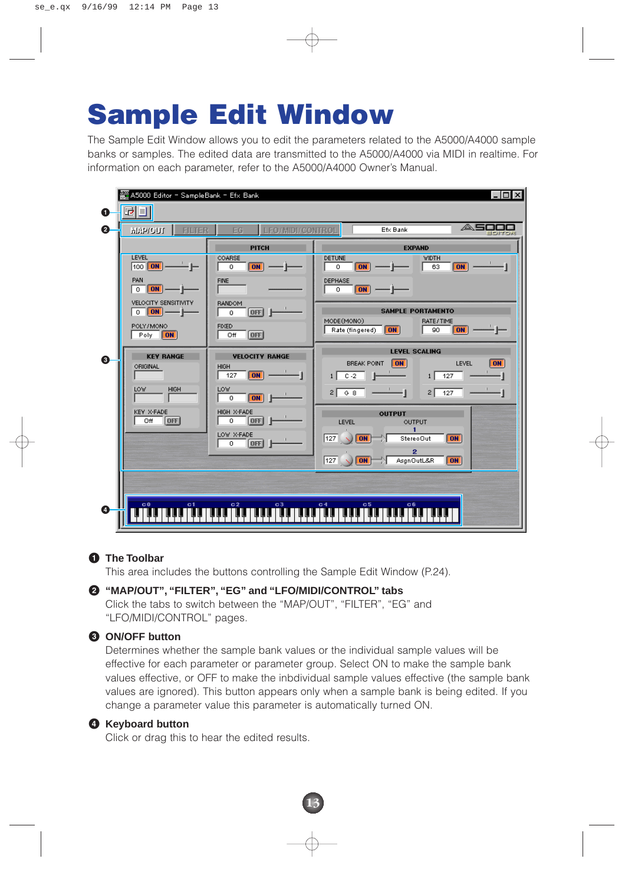# **Sample Edit Window**

The Sample Edit Window allows you to edit the parameters related to the A5000/A4000 sample banks or samples. The edited data are transmitted to the A5000/A4000 via MIDI in realtime. For information on each parameter, refer to the A5000/A4000 Owner's Manual.

|   | 쬺 A5000 Editor - SampleBank - Efx Bank<br>$ \Box$ $\times$ |                                      |                                                                                                                   |  |  |  |  |  |
|---|------------------------------------------------------------|--------------------------------------|-------------------------------------------------------------------------------------------------------------------|--|--|--|--|--|
| O | <u>rij</u>                                                 |                                      |                                                                                                                   |  |  |  |  |  |
| 0 | FILTER<br><b>MAP/OUT</b>                                   | <b>LEO/MIDI/CONTROL</b><br>EG.       | △5<br>Efx Bank<br>391TO                                                                                           |  |  |  |  |  |
|   |                                                            | <b>PITCH</b>                         | <b>EXPAND</b>                                                                                                     |  |  |  |  |  |
|   | <b>LEVEL</b><br>100 <b>DN</b>                              | COARSE<br><b>ON</b><br>$\circ$       | <b>WIDTH</b><br><b>DETUNE</b><br><b>ON</b><br>0<br>63<br><b>ON</b>                                                |  |  |  |  |  |
|   | PAN<br><b>ON</b><br>$\circ$                                | <b>FINE</b>                          | DEPHASE<br>$\circ$<br>ON                                                                                          |  |  |  |  |  |
|   | VELOCITY SENSITIVITY<br>$ ON $ —  <br>$\mathbf{0}$         | <b>BANDOM</b><br>OFF<br>0            | <b>SAMPLE PORTAMENTO</b><br>MODE(MONO)<br>RATE/TIME                                                               |  |  |  |  |  |
|   | POLY/MONO<br> ON <br>Poly                                  | <b>FIXED</b><br><b>OFF</b><br>Off    | 90<br>ON<br>Rate (fingered)<br><b>ON</b>                                                                          |  |  |  |  |  |
| 0 | <b>KEY RANGE</b><br>ORIGINAL                               | <b>VELOCITY RANGE</b><br><b>HIGH</b> | <b>LEVEL SCALING</b><br><b>BREAK POINT</b><br><b>ON</b><br>LEVEL<br>ON                                            |  |  |  |  |  |
|   |                                                            | 127<br> ON                           | $C - 2$<br>127<br>⇕<br>1 <br>1 <sup>1</sup>                                                                       |  |  |  |  |  |
|   | <b>LOW</b><br><b>HIGH</b>                                  | <b>LOW</b><br> ON <br>0              | G 8<br>2 <br>127<br>2 <br>-1                                                                                      |  |  |  |  |  |
|   | KEY X-FADE<br>Off<br><b>OFF</b>                            | HIGH X-FADE<br>[0F]<br>0             | <b>OUTPUT</b><br>LEVEL<br>OUTPUT                                                                                  |  |  |  |  |  |
|   |                                                            | LOW X-FADE<br>[OFF]<br>$\circ$       | 127   <br> ON <br>StereoOut<br><b>ON</b>                                                                          |  |  |  |  |  |
|   |                                                            |                                      | 2<br>$\boxed{127}$ $\boxed{\bigcirc}$ $\boxed{ON}$ $\rightarrow$ $\boxed{\bigcirc}$<br>AsgnOutL&R<br>$\boxed{ON}$ |  |  |  |  |  |
|   |                                                            |                                      |                                                                                                                   |  |  |  |  |  |
| ø | c <sub>0</sub><br>c1                                       | $\frac{c_2}{\ \cdot\ }$<br>c3        | c <sub>5</sub><br>C <sub>4</sub><br>C6                                                                            |  |  |  |  |  |
|   |                                                            |                                      |                                                                                                                   |  |  |  |  |  |

#### **1 The Toolbar**

This area includes the buttons controlling the Sample Edit Window (P.24).

#### **2 "MAP/OUT", "FILTER", "EG" and "LFO/MIDI/CONTROL" tabs**

Click the tabs to switch between the "MAP/OUT", "FILTER", "EG" and "LFO/MIDI/CONTROL" pages.

#### **3 ON/OFF button**

Determines whether the sample bank values or the individual sample values will be effective for each parameter or parameter group. Select ON to make the sample bank values effective, or OFF to make the inbdividual sample values effective (the sample bank values are ignored). This button appears only when a sample bank is being edited. If you change a parameter value this parameter is automatically turned ON.

**13**

#### **4 Keyboard button**

Click or drag this to hear the edited results.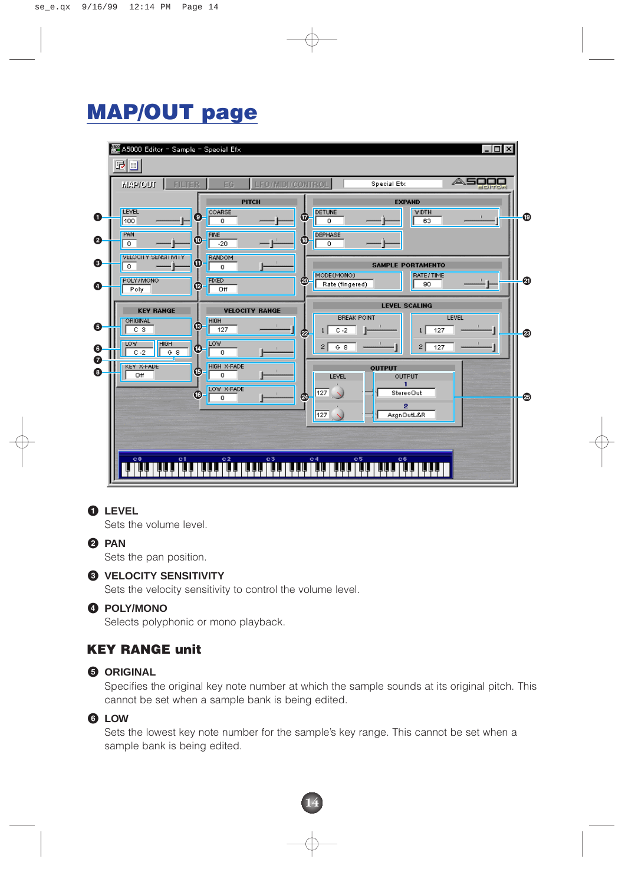### **MAP/OUT page**

|        | A5000 Editor - Sample - Special Efx    |                                         |                         |                         |                                         |                               |                          |                    |                 | $\Box$ |   |
|--------|----------------------------------------|-----------------------------------------|-------------------------|-------------------------|-----------------------------------------|-------------------------------|--------------------------|--------------------|-----------------|--------|---|
|        | GU                                     |                                         |                         |                         |                                         |                               |                          |                    | $\triangle$ 500 |        |   |
|        | <b>NIAP/OUT</b>                        | <b>FILTER</b>                           | EG.                     | <b>LFO/MIDI/CONTROL</b> |                                         |                               | Special Efx              |                    |                 | EDITOR |   |
| O      | <b>LEVEL</b><br>100                    | $\boldsymbol{\Theta}$                   | COARSE<br>$\circ$       | <b>PITCH</b>            | DETUNE<br>$\bf \bf \Phi$<br>$\mathbf 0$ |                               | <b>EXPAND</b>            | <b>WIDTH</b><br>63 |                 |        | ⊕ |
|        | PAN                                    |                                         | <b>FINE</b>             |                         | <b>DEPHASE</b>                          |                               |                          |                    |                 |        |   |
| ❷      | $\circ$<br><b>VELOCITY SENSITIVITY</b> | $\boldsymbol{\Phi}$                     | $-20$<br><b>RANDOM</b>  |                         | (18)<br>$\circ$                         |                               |                          |                    |                 |        |   |
| ❸      | $\,0\,$                                | $\bf \Phi$                              | $\circ$                 |                         | MODE(MONO)                              |                               | <b>SAMPLE PORTAMENTO</b> | <b>RATE/TIME</b>   |                 |        |   |
| Ø      | POLY/MONO<br>Poly                      | $\boldsymbol{\boldsymbol{\varnothing}}$ | <b>FIXED</b><br>Off     |                         | ☎                                       | Rate (fingered)               |                          | 90                 |                 |        | ⊕ |
|        | <b>KEY RANGE</b>                       |                                         |                         | <b>VELOCITY RANGE</b>   |                                         |                               | <b>LEVEL SCALING</b>     |                    |                 |        |   |
| 6      | ORIGINAL<br>C <sub>3</sub>             | $\bigcirc$                              | HIGH<br>127             |                         | $\bullet$                               | <b>BREAK POINT</b><br>$C - 2$ |                          | 127                | LEVEL           |        | ⊛ |
| 0      | <b>LOW</b><br><b>HIGH</b><br>$C - 2$   | $\left( 14\right)$<br>G 8               | LOW<br>0                |                         | $\mathbf{2}$                            | G 8                           |                          | 2 <br>127          |                 |        |   |
| Ø<br>❸ | <b>KEY X-FADE</b><br>Off               | 05                                      | <b>HIGH X-FADE</b><br>0 |                         |                                         |                               | <b>OUTPUT</b>            |                    |                 |        |   |
|        |                                        |                                         | LOW X-FADE              |                         | LEVEL<br>127                            |                               | OUTPUT<br>StereoOut      |                    |                 |        |   |
|        |                                        | $\overline{16}$                         | 0                       |                         | 2                                       |                               | 2                        |                    |                 |        | ⊕ |
|        |                                        |                                         |                         |                         | 127                                     |                               | AsgnOutL&R               |                    |                 |        |   |
|        |                                        |                                         |                         |                         |                                         |                               |                          |                    |                 |        |   |
|        | C <sub>0</sub>                         | c <sub>1</sub>                          | C <sub>2</sub>          | c3                      | C <sub>4</sub>                          | c5                            | C6                       |                    |                 |        |   |
|        |                                        |                                         |                         |                         |                                         |                               |                          |                    |                 |        |   |

#### **1 LEVEL**

Sets the volume level.

#### **2 PAN**

Sets the pan position.

#### **3 VELOCITY SENSITIVITY**

Sets the velocity sensitivity to control the volume level.

#### **4 POLY/MONO**

Selects polyphonic or mono playback.

#### **KEY RANGE unit**

#### **5 ORIGINAL**

Specifies the original key note number at which the sample sounds at its original pitch. This cannot be set when a sample bank is being edited.

#### **6 LOW**

Sets the lowest key note number for the sample's key range. This cannot be set when a sample bank is being edited.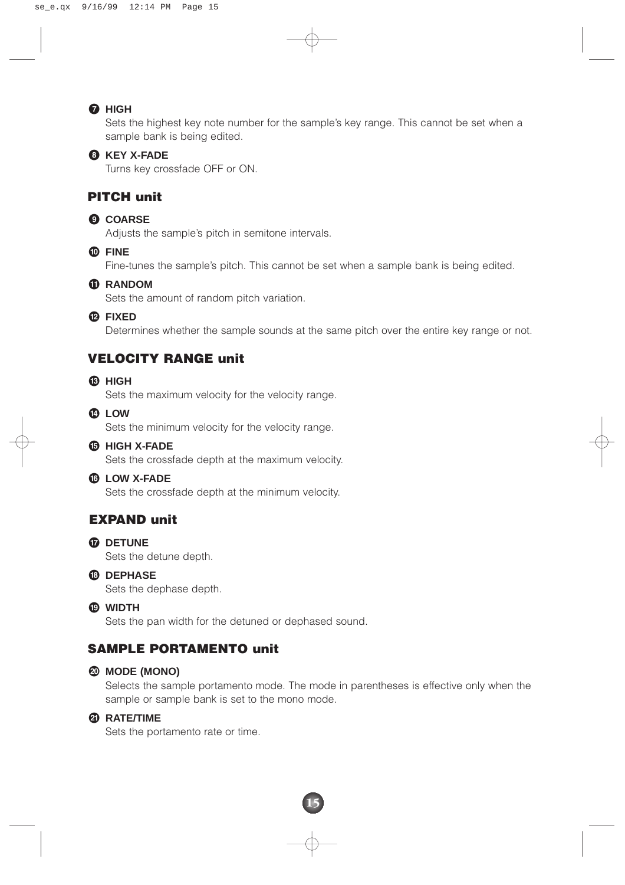#### **7 HIGH**

Sets the highest key note number for the sample's key range. This cannot be set when a sample bank is being edited.

#### **8 KEY X-FADE**

Turns key crossfade OFF or ON.

#### **PITCH unit**

#### **9 COARSE**

Adjusts the sample's pitch in semitone intervals.

**) FINE**

Fine-tunes the sample's pitch. This cannot be set when a sample bank is being edited.

#### **! RANDOM**

Sets the amount of random pitch variation.

**@ FIXED**

Determines whether the sample sounds at the same pitch over the entire key range or not.

#### **VELOCITY RANGE unit**

**# HIGH**

Sets the maximum velocity for the velocity range.

**\$ LOW**

Sets the minimum velocity for the velocity range.

**% HIGH X-FADE**

Sets the crossfade depth at the maximum velocity.

#### **^ LOW X-FADE**

Sets the crossfade depth at the minimum velocity.

#### **EXPAND unit**

- **& DETUNE** Sets the detune depth.
- **\* DEPHASE**

Sets the dephase depth.

**( WIDTH**

Sets the pan width for the detuned or dephased sound.

#### **SAMPLE PORTAMENTO unit**

#### **º MODE (MONO)**

Selects the sample portamento mode. The mode in parentheses is effective only when the sample or sample bank is set to the mono mode.

#### **¡ RATE/TIME**

Sets the portamento rate or time.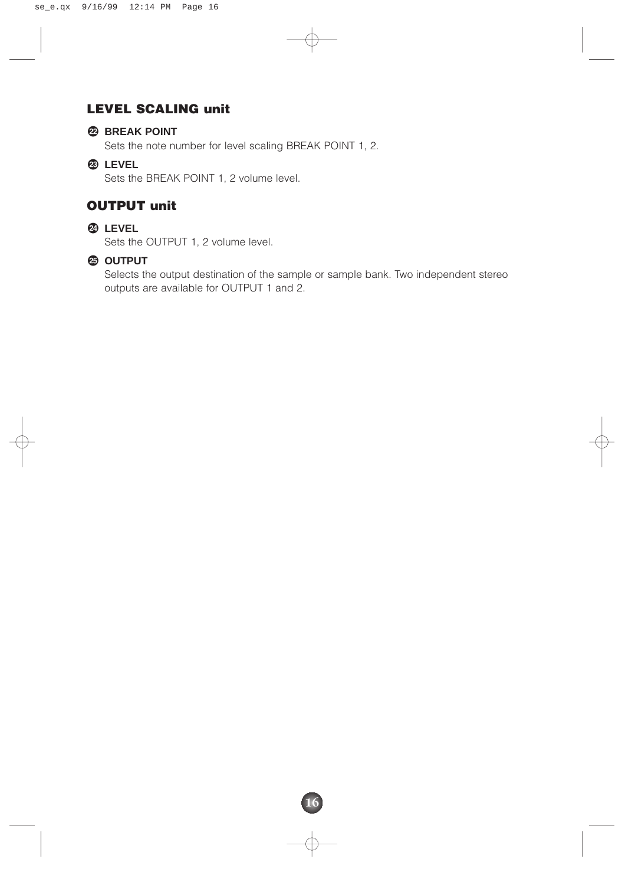#### **LEVEL SCALING unit**

#### **™ BREAK POINT**

Sets the note number for level scaling BREAK POINT 1, 2.

**£ LEVEL**

Sets the BREAK POINT 1, 2 volume level.

#### **OUTPUT unit**

#### **¢ LEVEL**

Sets the OUTPUT 1, 2 volume level.

#### **∞ OUTPUT**

Selects the output destination of the sample or sample bank. Two independent stereo outputs are available for OUTPUT 1 and 2.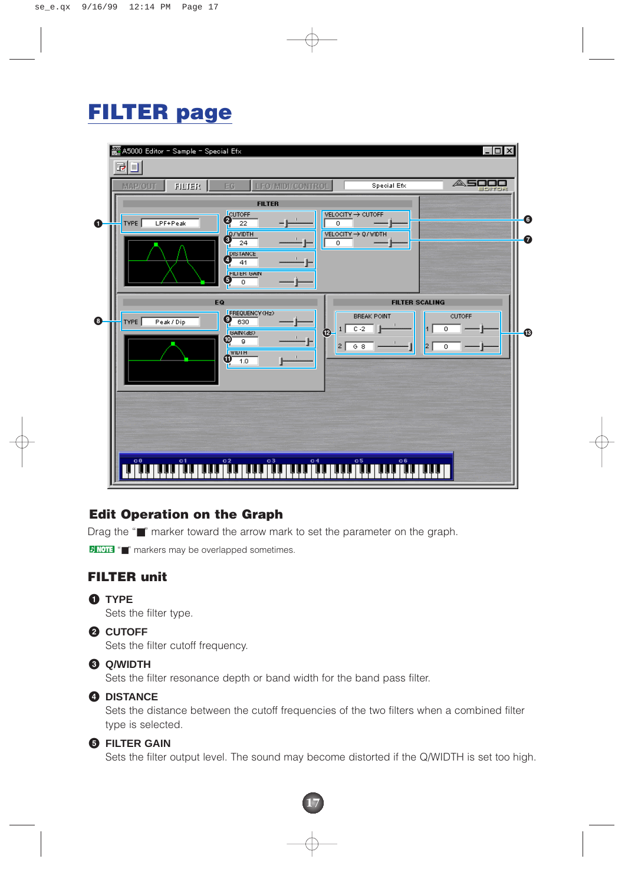### **FILTER page**

|             | $\Box$<br>▓ A5000 Editor = Sample = Special Efx<br>$\mathbb{F}[\mathbb{F}]$                                                                                                                                                                                                                                                                                                   |            |
|-------------|-------------------------------------------------------------------------------------------------------------------------------------------------------------------------------------------------------------------------------------------------------------------------------------------------------------------------------------------------------------------------------|------------|
|             | <b>ASOOO</b><br>Special Efx<br><b>LFO/MIDI/CONTROL</b><br>FILTER<br><b>MAP/OUT</b><br>EG.                                                                                                                                                                                                                                                                                     |            |
| $\mathbf 0$ | <b>FILTER</b><br>$\frac{CUTOFF}{22}$<br>VELOCITY $\rightarrow$ CUTOFF<br>TYPE<br>LPF+Peak<br>$\circ$<br>$\frac{2}{2}$<br>VELOCITY $\rightarrow$ Q/WIDTH<br>$\circ$<br><b>DISTANCE</b><br>$\boldsymbol{Q}$<br>41                                                                                                                                                               | 0<br>0     |
| $\bullet$   | <b>FILTER GAIN</b><br>$\boldsymbol{\Theta}$<br>$\circ$<br>EQ<br><b>FILTER SCALING</b><br>FREQUENCY (Hz)<br><b>CUTOFF</b><br><b>BREAK POINT</b><br>$\boldsymbol{\Theta}$<br>Peak/Dip<br>630<br>TYPE<br>$C - 2$<br>0<br>$\mathbf{1}$<br>$\boldsymbol{\circledcirc}$<br>BAIN(dB)<br>$_{\textbf{\tiny{(10)}}}$<br>9<br> 2 <br>G.8<br>2<br>0<br><b>WIDTH</b><br>$\mathbf 0$<br>1.0 | $\bigcirc$ |
|             | c3<br>c <sub>5</sub><br>c <sub>1</sub><br>C <sub>2</sub><br>C <sub>4</sub><br>C6<br>C <sub>0</sub>                                                                                                                                                                                                                                                                            |            |

#### **Edit Operation on the Graph**

Drag the "■" marker toward the arrow mark to set the parameter on the graph.

**DNOTE** "" markers may be overlapped sometimes.

#### **FILTER unit**

**1** TYPE

Sets the filter type.

**2 CUTOFF**

Sets the filter cutoff frequency.

#### **3 Q/WIDTH**

Sets the filter resonance depth or band width for the band pass filter.

#### **4 DISTANCE**

Sets the distance between the cutoff frequencies of the two filters when a combined filter type is selected.

#### **5 FILTER GAIN**

Sets the filter output level. The sound may become distorted if the Q/WIDTH is set too high.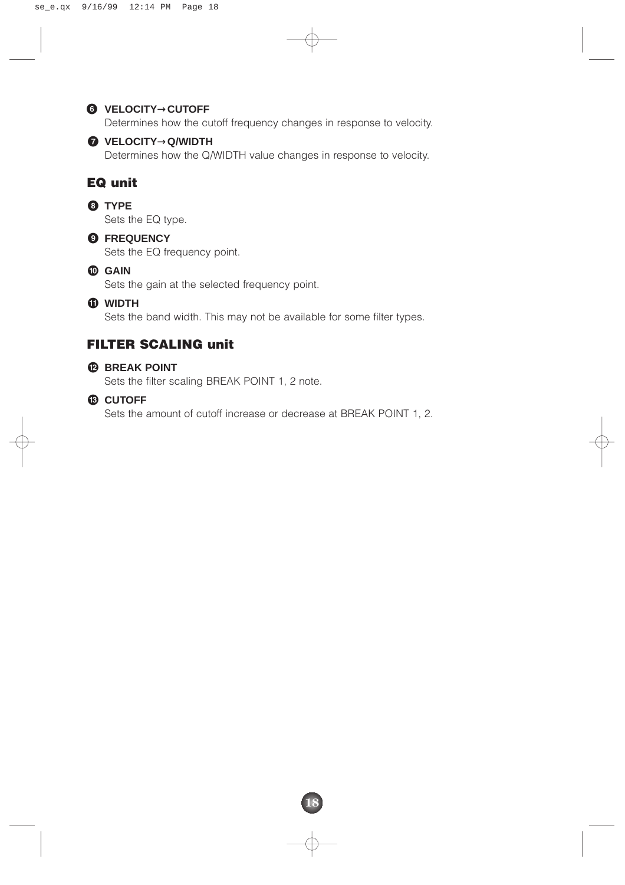#### **6 VELOCITY**→**CUTOFF**

Determines how the cutoff frequency changes in response to velocity.

#### **7 VELOCITY**→**Q/WIDTH**

Determines how the Q/WIDTH value changes in response to velocity.

#### **EQ unit**

#### **8 TYPE**

Sets the EQ type.

#### **9 FREQUENCY**

Sets the EQ frequency point.

#### **) GAIN**

Sets the gain at the selected frequency point.

#### **! WIDTH**

Sets the band width. This may not be available for some filter types.

#### **FILTER SCALING unit**

#### **@ BREAK POINT**

Sets the filter scaling BREAK POINT 1, 2 note.

#### **# CUTOFF**

Sets the amount of cutoff increase or decrease at BREAK POINT 1, 2.

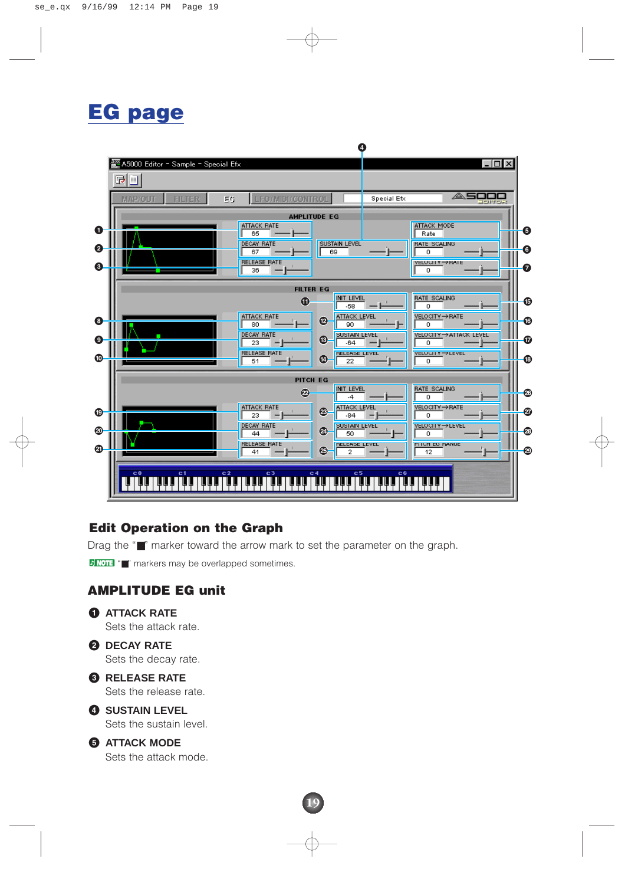### **EG page**



#### **Edit Operation on the Graph**

Drag the "■" marker toward the arrow mark to set the parameter on the graph.

**19**

D NOTE "■" markers may be overlapped sometimes.

#### **AMPLITUDE EG unit**

- **1 ATTACK RATE** Sets the attack rate. **2 DECAY RATE** Sets the decay rate. **3 RELEASE RATE** Sets the release rate. **4 SUSTAIN LEVEL** Sets the sustain level.
- **5 ATTACK MODE** Sets the attack mode.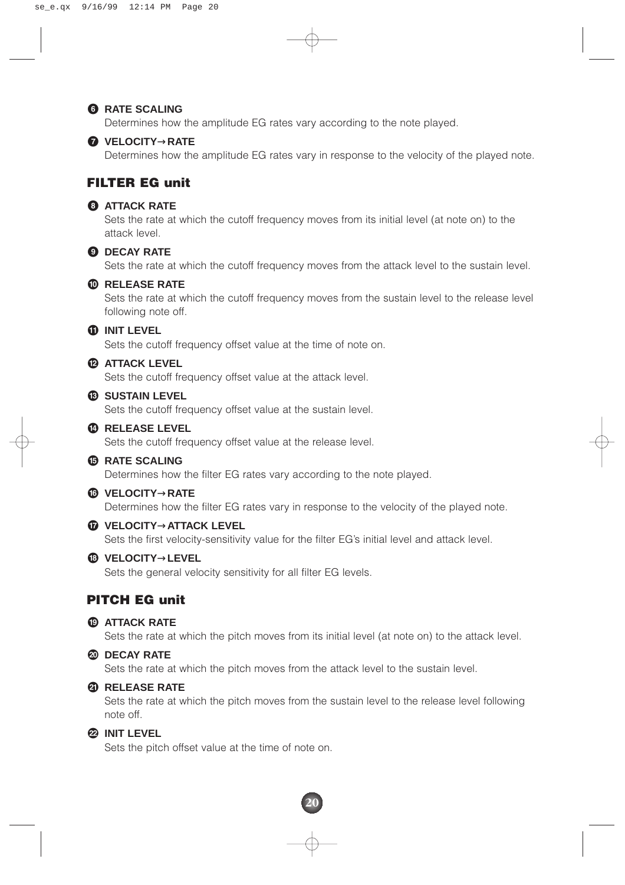#### **6 RATE SCALING**

Determines how the amplitude EG rates vary according to the note played.



#### **7 VELOCITY**→**RATE**

Determines how the amplitude EG rates vary in response to the velocity of the played note.

#### **FILTER EG unit**

#### **8 ATTACK RATE**

Sets the rate at which the cutoff frequency moves from its initial level (at note on) to the attack level.

#### **9 DECAY RATE**

Sets the rate at which the cutoff frequency moves from the attack level to the sustain level.

#### **) RELEASE RATE**

Sets the rate at which the cutoff frequency moves from the sustain level to the release level following note off.

#### **! INIT LEVEL**

Sets the cutoff frequency offset value at the time of note on.

#### **@ ATTACK LEVEL**

Sets the cutoff frequency offset value at the attack level.

#### **# SUSTAIN LEVEL**

Sets the cutoff frequency offset value at the sustain level.

#### **\$ RELEASE LEVEL**

Sets the cutoff frequency offset value at the release level.

#### **% RATE SCALING**

Determines how the filter EG rates vary according to the note played.

#### **^ VELOCITY**→**RATE**

Determines how the filter EG rates vary in response to the velocity of the played note.

**& VELOCITY**→**ATTACK LEVEL**

Sets the first velocity-sensitivity value for the filter EG's initial level and attack level.

#### **\* VELOCITY**→**LEVEL**

Sets the general velocity sensitivity for all filter EG levels.

#### **PITCH EG unit**

#### **( ATTACK RATE**

Sets the rate at which the pitch moves from its initial level (at note on) to the attack level.

#### **º DECAY RATE**

Sets the rate at which the pitch moves from the attack level to the sustain level.

#### **¡ RELEASE RATE**

Sets the rate at which the pitch moves from the sustain level to the release level following note off.

#### **™ INIT LEVEL**

Sets the pitch offset value at the time of note on.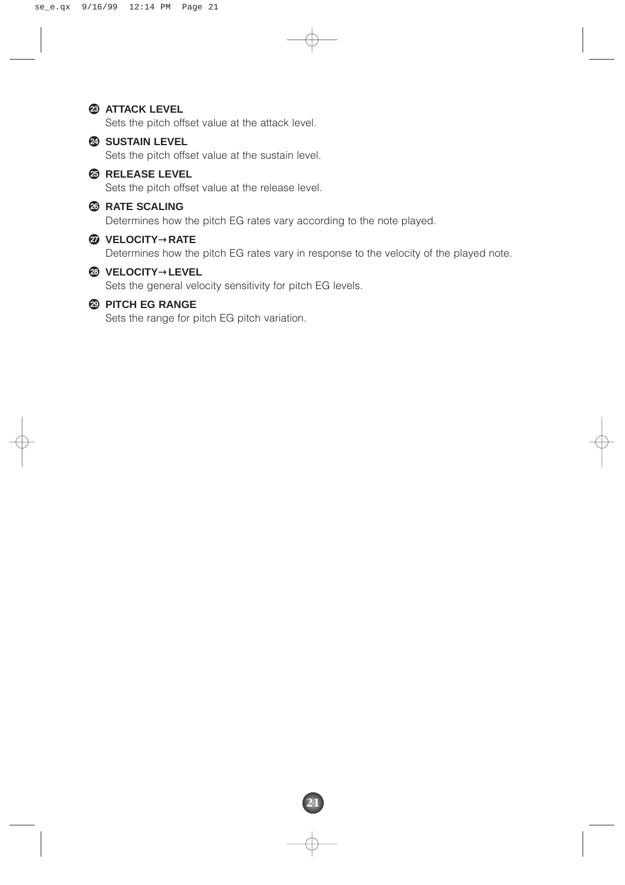#### **£ ATTACK LEVEL**

Sets the pitch offset value at the attack level.

#### **¢ SUSTAIN LEVEL**

Sets the pitch offset value at the sustain level.

#### **∞ RELEASE LEVEL**

Sets the pitch offset value at the release level.

#### **§ RATE SCALING**

Determines how the pitch EG rates vary according to the note played.

#### **¶ VELOCITY**→**RATE**

Determines how the pitch EG rates vary in response to the velocity of the played note.

#### **• VELOCITY**→**LEVEL**

Sets the general velocity sensitivity for pitch EG levels.

#### **ª PITCH EG RANGE**

Sets the range for pitch EG pitch variation.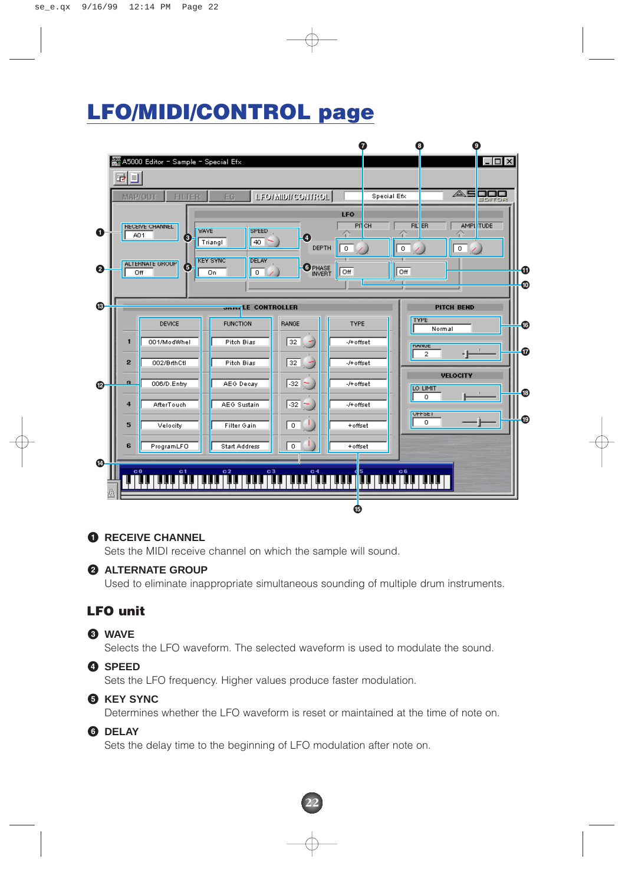### **LFO/MIDI/CONTROL page**



#### **1 RECEIVE CHANNEL**

Sets the MIDI receive channel on which the sample will sound.

#### **2 ALTERNATE GROUP**

Used to eliminate inappropriate simultaneous sounding of multiple drum instruments.

#### **LFO unit**

#### **3 WAVE**

Selects the LFO waveform. The selected waveform is used to modulate the sound.

#### **4 SPEED**

Sets the LFO frequency. Higher values produce faster modulation.

#### **5 KEY SYNC**

Determines whether the LFO waveform is reset or maintained at the time of note on.

#### **6 DELAY**

Sets the delay time to the beginning of LFO modulation after note on.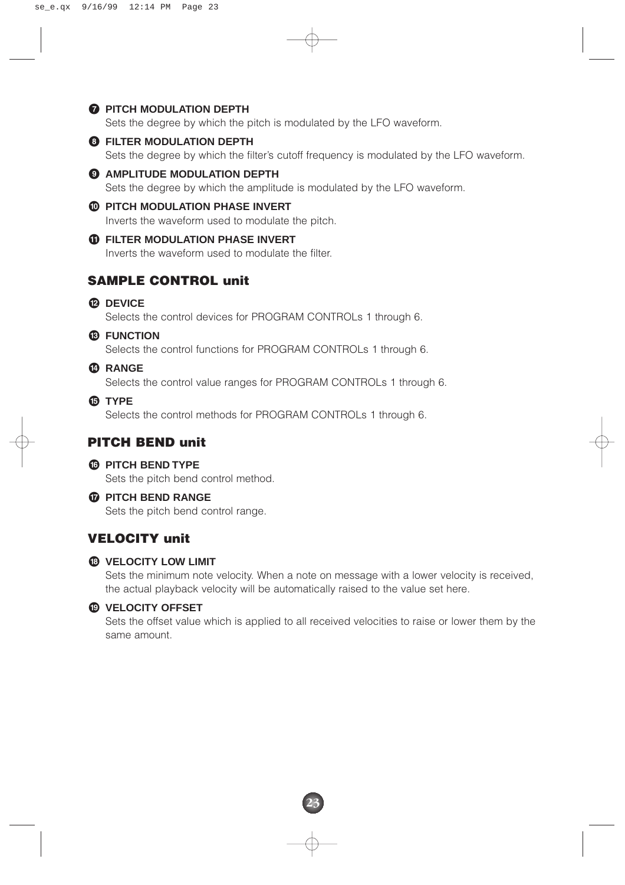#### **7 PITCH MODULATION DEPTH**

Sets the degree by which the pitch is modulated by the LFO waveform.

#### **8 FILTER MODULATION DEPTH**

Sets the degree by which the filter's cutoff frequency is modulated by the LFO waveform.

#### **9 AMPLITUDE MODULATION DEPTH**

Sets the degree by which the amplitude is modulated by the LFO waveform.

#### **) PITCH MODULATION PHASE INVERT**

Inverts the waveform used to modulate the pitch.

#### **10 FILTER MODULATION PHASE INVERT**

Inverts the waveform used to modulate the filter.

#### **SAMPLE CONTROL unit**

#### **@ DEVICE**

Selects the control devices for PROGRAM CONTROLs 1 through 6.

#### **# FUNCTION**

Selects the control functions for PROGRAM CONTROLs 1 through 6.

#### **\$ RANGE**

Selects the control value ranges for PROGRAM CONTROLs 1 through 6.

#### **% TYPE**

Selects the control methods for PROGRAM CONTROLs 1 through 6.

#### **PITCH BEND unit**

#### **^ PITCH BEND TYPE**

Sets the pitch bend control method.

#### **& PITCH BEND RANGE**

Sets the pitch bend control range.

#### **VELOCITY unit**

#### $\bullet$  **VELOCITY LOW LIMIT**

Sets the minimum note velocity. When a note on message with a lower velocity is received, the actual playback velocity will be automatically raised to the value set here.

#### **( VELOCITY OFFSET**

Sets the offset value which is applied to all received velocities to raise or lower them by the same amount.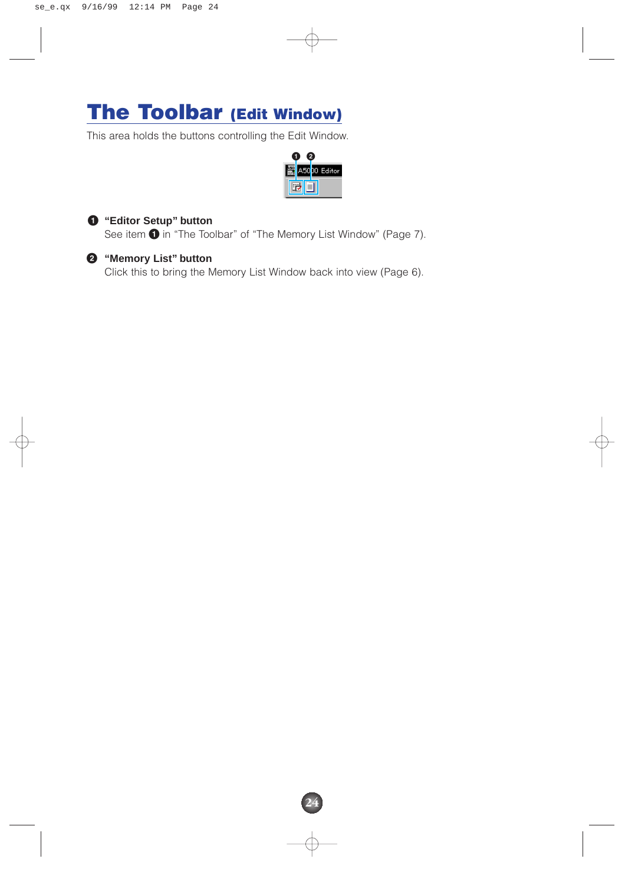### **The Toolbar (Edit Window)**

This area holds the buttons controlling the Edit Window.



**24**



#### **1 "Editor Setup" button**

See item  $\bigcirc$  in "The Toolbar" of "The Memory List Window" (Page 7).

#### **2 "Memory List" button**

Click this to bring the Memory List Window back into view (Page 6).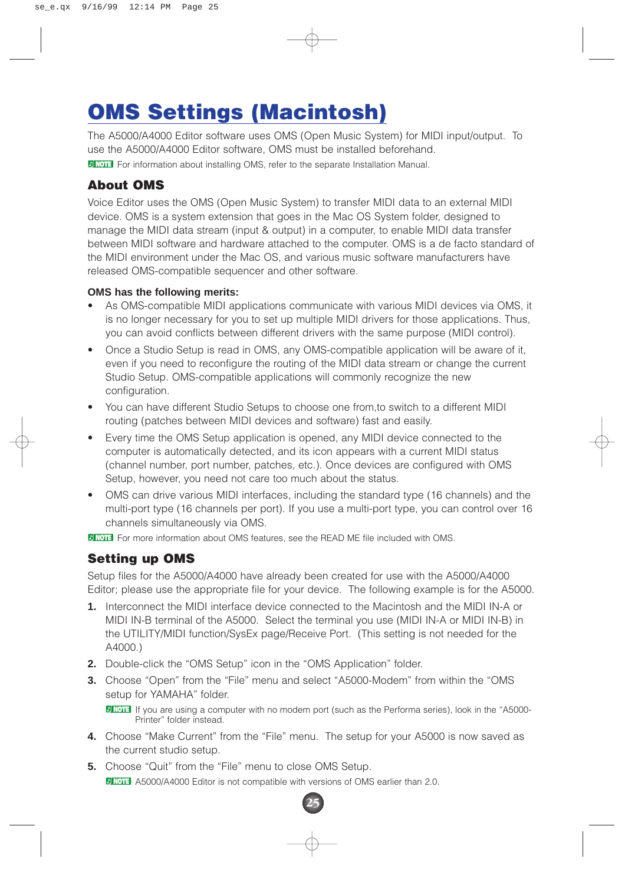### **OMS Settings (Macintosh)**

The A5000/A4000 Editor software uses OMS (Open Music System) for MIDI input/output. To use the A5000/A4000 Editor software, OMS must be installed beforehand.

**P NOTE** For information about installing OMS, refer to the separate Installation Manual.

#### **About OMS**

Voice Editor uses the OMS (Open Music System) to transfer MIDI data to an external MIDI device. OMS is a system extension that goes in the Mac OS System folder, designed to manage the MIDI data stream (input & output) in a computer, to enable MIDI data transfer between MIDI software and hardware attached to the computer. OMS is a de facto standard of the MIDI environment under the Mac OS, and various music software manufacturers have released OMS-compatible sequencer and other software.

#### **OMS has the following merits:**

- As OMS-compatible MIDI applications communicate with various MIDI devices via OMS, it is no longer necessary for you to set up multiple MIDI drivers for those applications. Thus, you can avoid conflicts between different drivers with the same purpose (MIDI control).
- Once a Studio Setup is read in OMS, any OMS-compatible application will be aware of it, even if you need to reconfigure the routing of the MIDI data stream or change the current Studio Setup. OMS-compatible applications will commonly recognize the new configuration.
- You can have different Studio Setups to choose one from,to switch to a different MIDI routing (patches between MIDI devices and software) fast and easily.
- Every time the OMS Setup application is opened, any MIDI device connected to the computer is automatically detected, and its icon appears with a current MIDI status (channel number, port number, patches, etc.). Once devices are configured with OMS Setup, however, you need not care too much about the status.
- OMS can drive various MIDI interfaces, including the standard type (16 channels) and the multi-port type (16 channels per port). If you use a multi-port type, you can control over 16 channels simultaneously via OMS.

**DINOTE** For more information about OMS features, see the READ ME file included with OMS.

#### **Setting up OMS**

Setup files for the A5000/A4000 have already been created for use with the A5000/A4000 Editor; please use the appropriate file for your device. The following example is for the A5000.

- **1.** Interconnect the MIDI interface device connected to the Macintosh and the MIDI IN-A or MIDI IN-B terminal of the A5000. Select the terminal you use (MIDI IN-A or MIDI IN-B) in the UTILITY/MIDI function/SysEx page/Receive Port. (This setting is not needed for the A4000.)
- **2.** Double-click the "OMS Setup" icon in the "OMS Application" folder.
- **3.** Choose "Open" from the "File" menu and select "A5000-Modem" from within the "OMS setup for YAMAHA" folder.

**DINOTE** If you are using a computer with no modem port (such as the Performa series), look in the "A5000-Printer" folder instead.

**4.** Choose "Make Current" from the "File" menu. The setup for your A5000 is now saved as the current studio setup.

**25**

**5.** Choose "Quit" from the "File" menu to close OMS Setup. **DINGLE A5000/A4000 Editor is not compatible with versions of OMS earlier than 2.0.**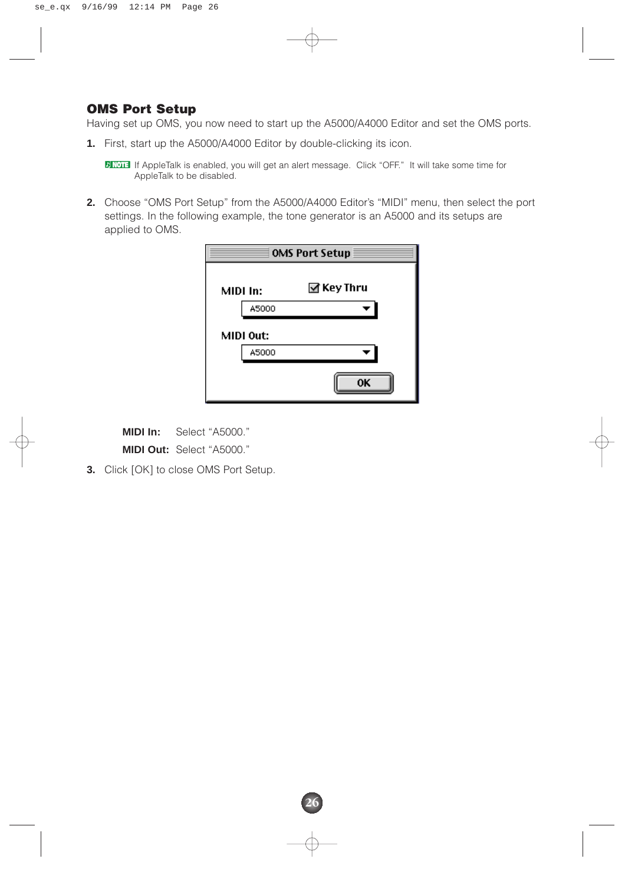#### **OMS Port Setup**

Having set up OMS, you now need to start up the A5000/A4000 Editor and set the OMS ports.

**1.** First, start up the A5000/A4000 Editor by double-clicking its icon.

**DINGTE** If AppleTalk is enabled, you will get an alert message. Click "OFF." It will take some time for AppleTalk to be disabled.

**2.** Choose "OMS Port Setup" from the A5000/A4000 Editor's "MIDI" menu, then select the port settings. In the following example, the tone generator is an A5000 and its setups are applied to OMS.

|           | <b>OMS Port Setup</b> |
|-----------|-----------------------|
| MIDI In:  | ⊠ Key Thru            |
| A5000     |                       |
| MIDI Out: |                       |
| A5000     |                       |
|           | ΩK                    |

**26**

**MIDI In:** Select "A5000." **MIDI Out:** Select "A5000."

**3.** Click [OK] to close OMS Port Setup.